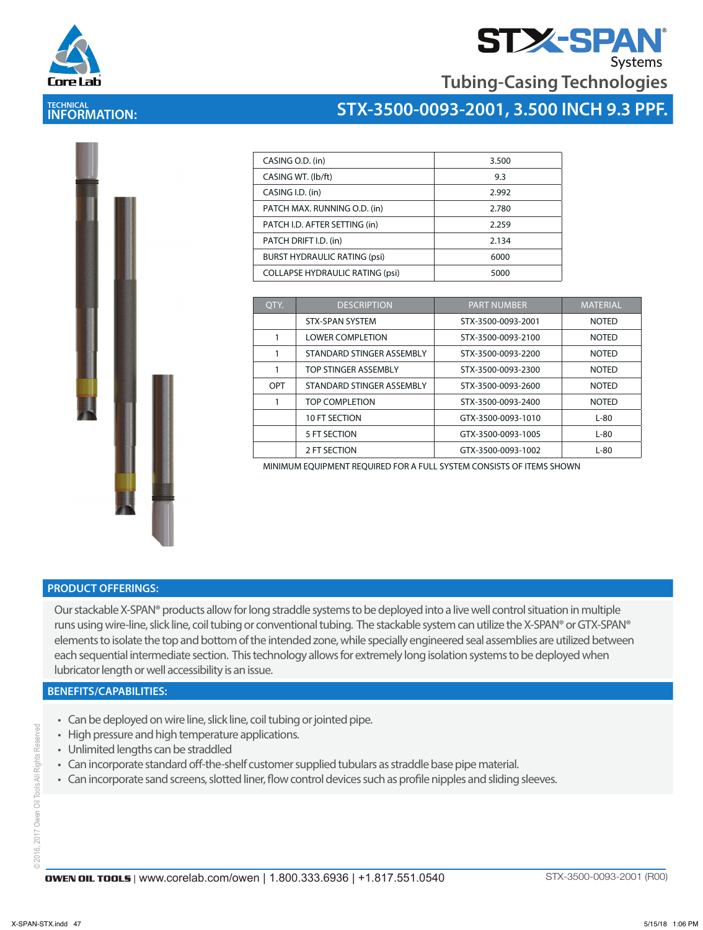



**Tubing-Casing Technologies**

## **TECHNICAL INFORMATION:**

## **STX-3500-0093-2001, 3.500 INCH 9.3 PPF.**

| CASING O.D. (in)                       | 3.500 |
|----------------------------------------|-------|
| CASING WT. (lb/ft)                     | 9.3   |
| CASING I.D. (in)                       | 2.992 |
| PATCH MAX. RUNNING O.D. (in)           | 2.780 |
| PATCH I.D. AFTER SETTING (in)          | 2.259 |
| PATCH DRIFT I.D. (in)                  | 2.134 |
| <b>BURST HYDRAULIC RATING (psi)</b>    | 6000  |
| <b>COLLAPSE HYDRAULIC RATING (psi)</b> | 5000  |

| OTY. | <b>DESCRIPTION</b>        | <b>PART NUMBER</b> |              |
|------|---------------------------|--------------------|--------------|
|      | <b>STX-SPAN SYSTEM</b>    | STX-3500-0093-2001 | <b>NOTED</b> |
|      | <b>LOWER COMPLETION</b>   | STX-3500-0093-2100 | <b>NOTED</b> |
|      | STANDARD STINGER ASSEMBLY | STX-3500-0093-2200 | <b>NOTED</b> |
|      | TOP STINGER ASSEMBLY      | STX-3500-0093-2300 | <b>NOTED</b> |
| OPT  | STANDARD STINGER ASSEMBLY | STX-3500-0093-2600 | <b>NOTED</b> |
|      | TOP COMPLETION            | STX-3500-0093-2400 | <b>NOTED</b> |
|      | 10 FT SECTION             | GTX-3500-0093-1010 | $L-80$       |
|      | 5 FT SECTION              | GTX-3500-0093-1005 | $L-80$       |
|      | 2 FT SECTION              | GTX-3500-0093-1002 | $L-80$       |

MINIMUM EQUIPMENT REQUIRED FOR A FULL SYSTEM CONSISTS OF ITEMS SHOWN

## **PRODUCT OFFERINGS:**

Our stackable X-SPAN® products allow for long straddle systems to be deployed into a live well control situation in multiple runs using wire-line, slick line, coil tubing or conventional tubing. The stackable system can utilize the X-SPAN® or GTX-SPAN® elements to isolate the top and bottom of the intended zone, while specially engineered seal assemblies are utilized between each sequential intermediate section. This technology allows for extremely long isolation systems to be deployed when lubricator length or well accessibility is an issue.

### **BENEFITS/CAPABILITIES:**

- Can be deployed on wire line, slick line, coil tubing or jointed pipe.
- High pressure and high temperature applications.
- Unlimited lengths can be straddled
- Can incorporate standard off-the-shelf customer supplied tubulars as straddle base pipe material.
- Can incorporate sand screens, slotted liner, flow control devices such as profile nipples and sliding sleeves.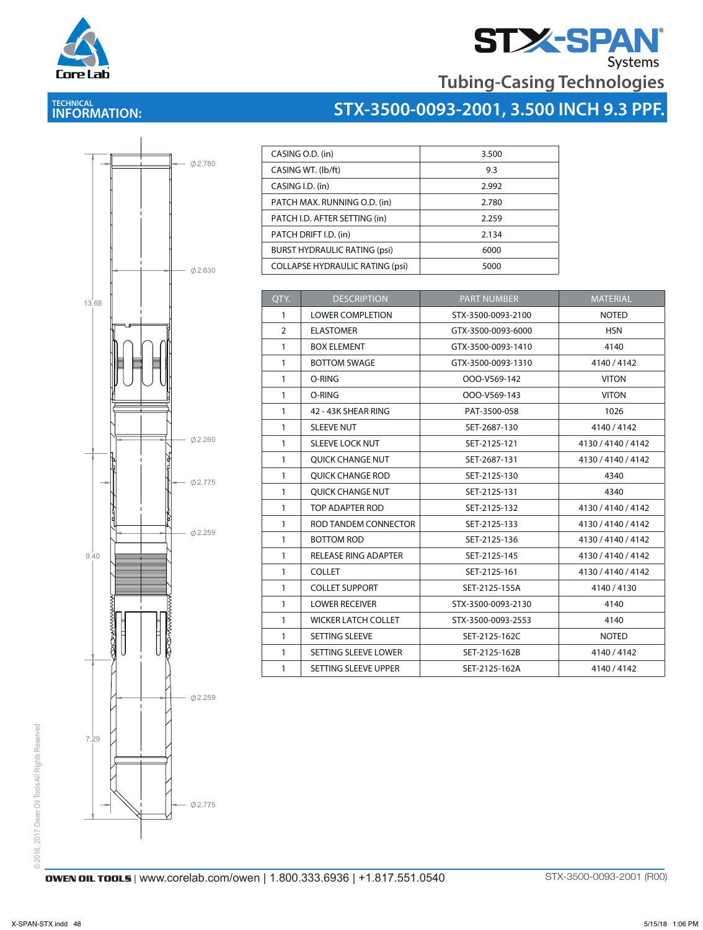



# **STX-3500-0093-2001, 3.500 INCH 9.3 PPF.**



| CASING O.D. (in)                       | 3.500 |
|----------------------------------------|-------|
| CASING WT. (lb/ft)                     | 9.3   |
| CASING I.D. (in)                       | 2.992 |
| PATCH MAX. RUNNING O.D. (in)           | 2.780 |
| PATCH I.D. AFTER SETTING (in)          | 2.259 |
| PATCH DRIFT I.D. (in)                  | 2.134 |
| <b>BURST HYDRAULIC RATING (psi)</b>    | 6000  |
| <b>COLLAPSE HYDRAULIC RATING (psi)</b> | 5000  |

| QTY.           | <b>DESCRIPTION</b>          | <b>PART NUMBER</b> | <b>MATERIAL</b>    |
|----------------|-----------------------------|--------------------|--------------------|
| $\mathbf{1}$   | <b>LOWER COMPLETION</b>     | STX-3500-0093-2100 | <b>NOTED</b>       |
| $\overline{2}$ | <b>ELASTOMER</b>            | GTX-3500-0093-6000 | <b>HSN</b>         |
| $\mathbf{1}$   | <b>BOX ELEMENT</b>          | GTX-3500-0093-1410 | 4140               |
| $\mathbf{1}$   | <b>BOTTOM SWAGE</b>         | GTX-3500-0093-1310 | 4140/4142          |
| $\mathbf{1}$   | O-RING                      | OOO-V569-142       | <b>VITON</b>       |
| $\mathbf{1}$   | O-RING                      | OOO-V569-143       | <b>VITON</b>       |
| $\mathbf{1}$   | 42 - 43K SHEAR RING         | PAT-3500-058       | 1026               |
| $\mathbf{1}$   | <b>SLEEVE NUT</b>           | SET-2687-130       | 4140/4142          |
| $\mathbf{1}$   | <b>SLEEVE LOCK NUT</b>      | SET-2125-121       | 4130 / 4140 / 4142 |
| $\mathbf{1}$   | <b>OUICK CHANGE NUT</b>     | SET-2687-131       | 4130 / 4140 / 4142 |
| $\mathbf{1}$   | <b>OUICK CHANGE ROD</b>     | SET-2125-130       | 4340               |
| $\mathbf{1}$   | <b>OUICK CHANGE NUT</b>     | SET-2125-131       | 4340               |
| $\mathbf{1}$   | TOP ADAPTER ROD             | SET-2125-132       | 4130/4140/4142     |
| $\mathbf{1}$   | ROD TANDEM CONNECTOR        | SET-2125-133       | 4130 / 4140 / 4142 |
| $\mathbf{1}$   | <b>BOTTOM ROD</b>           | SET-2125-136       | 4130 / 4140 / 4142 |
| $\mathbf{1}$   | <b>RELEASE RING ADAPTER</b> | SET-2125-145       | 4130 / 4140 / 4142 |
| $\mathbf{1}$   | <b>COLLET</b>               | SET-2125-161       | 4130/4140/4142     |
| $\mathbf{1}$   | <b>COLLET SUPPORT</b>       | SET-2125-155A      | 4140/4130          |
| $\mathbf{1}$   | <b>LOWER RECEIVER</b>       | STX-3500-0093-2130 | 4140               |
| $\mathbf{1}$   | <b>WICKER LATCH COLLET</b>  | STX-3500-0093-2553 | 4140               |
| $\mathbf{1}$   | SETTING SLEEVE              | SET-2125-162C      | <b>NOTED</b>       |
| $\mathbf{1}$   | SETTING SLEEVE LOWER        | SET-2125-162B      | 4140/4142          |
| 1              | SETTING SLEEVE UPPER        | SET-2125-162A      | 4140/4142          |

**OWEN OIL TOOLS** | www.corelab.com/owen | 1.800.333.6936 | +1.817.551.0540 STX-3500-0093-2001 (R00)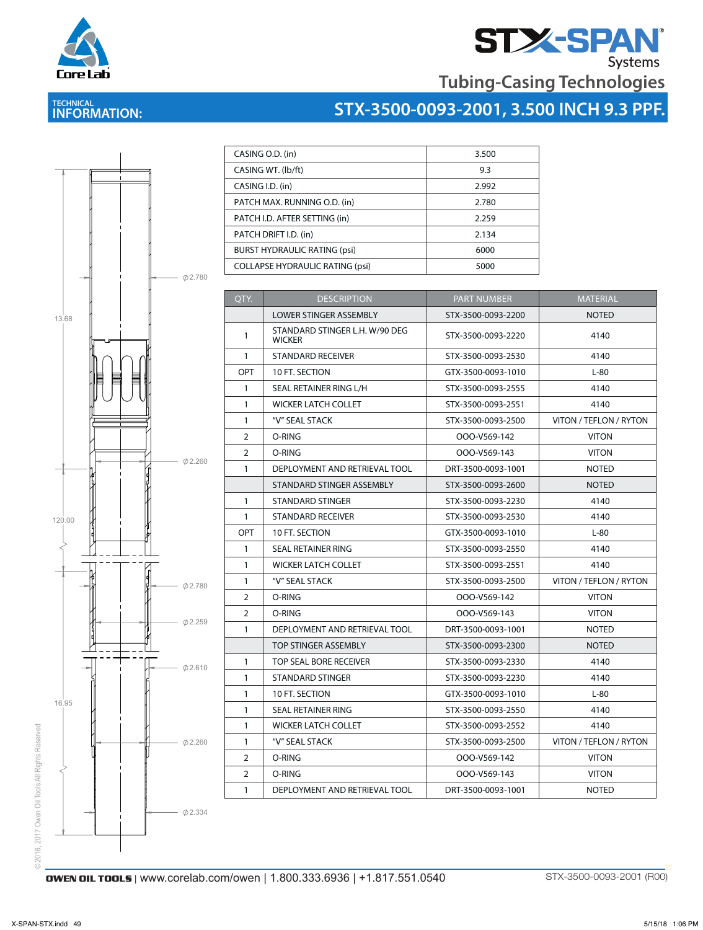



# **TECHNICAL INFORMATION:**

| <b>Tubing-Casing Technologies</b>       |  |
|-----------------------------------------|--|
| STX-3500-0093-2001, 3.500 INCH 9.3 PPF. |  |



| CASING O.D. (in)                       | 3.500 |
|----------------------------------------|-------|
| CASING WT. (lb/ft)                     | 9.3   |
| CASING I.D. (in)                       | 2.992 |
| PATCH MAX. RUNNING O.D. (in)           | 2.780 |
| PATCH I.D. AFTER SETTING (in)          | 2.259 |
| PATCH DRIFT I.D. (in)                  | 2.134 |
| <b>BURST HYDRAULIC RATING (psi)</b>    | 6000  |
| <b>COLLAPSE HYDRAULIC RATING (psi)</b> | 5000  |

LOWER STINGER ASSEMBLY STX-3500-0093-2200 NOTED

| QTY.           | <b>DESCRIPTION</b><br><b>PART NUMBER</b> |                    | <b>MATERIAL</b>        |
|----------------|------------------------------------------|--------------------|------------------------|
|                | <b>LOWER STINGER ASSEMBLY</b>            | STX-3500-0093-2200 | <b>NOTED</b>           |
| $\mathbf{1}$   | STANDARD STINGER L.H. W/90 DEG<br>WICKER | STX-3500-0093-2220 | 4140                   |
| 1              | <b>STANDARD RECEIVER</b>                 | STX-3500-0093-2530 | 4140                   |
| <b>OPT</b>     | 10 FT. SECTION                           | GTX-3500-0093-1010 | $L-80$                 |
| $\mathbf{1}$   | SEAL RETAINER RING L/H                   | STX-3500-0093-2555 | 4140                   |
| 1              | <b>WICKER LATCH COLLET</b>               | STX-3500-0093-2551 | 4140                   |
| 1              | "V" SEAL STACK                           | STX-3500-0093-2500 | VITON / TEFLON / RYTON |
| 2              | O-RING                                   | OOO-V569-142       | <b>VITON</b>           |
| $\overline{2}$ | O-RING                                   | OOO-V569-143       | <b>VITON</b>           |
| 1              | DEPLOYMENT AND RETRIEVAL TOOL            | DRT-3500-0093-1001 | <b>NOTED</b>           |
|                | STANDARD STINGER ASSEMBLY                | STX-3500-0093-2600 | <b>NOTED</b>           |
| $\mathbf{1}$   | STANDARD STINGER                         | STX-3500-0093-2230 | 4140                   |
| $\mathbf{1}$   | <b>STANDARD RECEIVER</b>                 | STX-3500-0093-2530 | 4140                   |
| <b>OPT</b>     | 10 FT. SECTION                           | GTX-3500-0093-1010 | $L-80$                 |
| $\mathbf{1}$   | SEAL RETAINER RING                       | STX-3500-0093-2550 | 4140                   |
| $\mathbf{1}$   | <b>WICKER LATCH COLLET</b>               | STX-3500-0093-2551 | 4140                   |
| $\mathbf{1}$   | "V" SEAL STACK                           | STX-3500-0093-2500 | VITON / TEFLON / RYTON |
| $\overline{2}$ | O-RING                                   | OOO-V569-142       | <b>VITON</b>           |
| $\overline{2}$ | O-RING                                   | OOO-V569-143       | <b>VITON</b>           |
| $\mathbf{1}$   | DEPLOYMENT AND RETRIEVAL TOOL            | DRT-3500-0093-1001 | <b>NOTED</b>           |
|                | TOP STINGER ASSEMBLY                     | STX-3500-0093-2300 | <b>NOTED</b>           |
| $\mathbf{1}$   | TOP SEAL BORE RECEIVER                   | STX-3500-0093-2330 | 4140                   |
| $\mathbf{1}$   | <b>STANDARD STINGER</b>                  | STX-3500-0093-2230 | 4140                   |
| $\mathbf{1}$   | 10 FT. SECTION                           | GTX-3500-0093-1010 | $L-80$                 |
| $\mathbf{1}$   | SEAL RETAINER RING                       | STX-3500-0093-2550 | 4140                   |
| $\mathbf{1}$   | <b>WICKER LATCH COLLET</b>               | STX-3500-0093-2552 | 4140                   |
| $\mathbf{1}$   | "V" SEAL STACK                           | STX-3500-0093-2500 | VITON / TEFLON / RYTON |
| $\overline{2}$ | O-RING                                   | OOO-V569-142       | <b>VITON</b>           |
| $\overline{2}$ | $O-RING$                                 | OOO-V569-143       | <b>VITON</b>           |
| $\mathbf{1}$   | DEPLOYMENT AND RETRIEVAL TOOL            | DRT-3500-0093-1001 | <b>NOTED</b>           |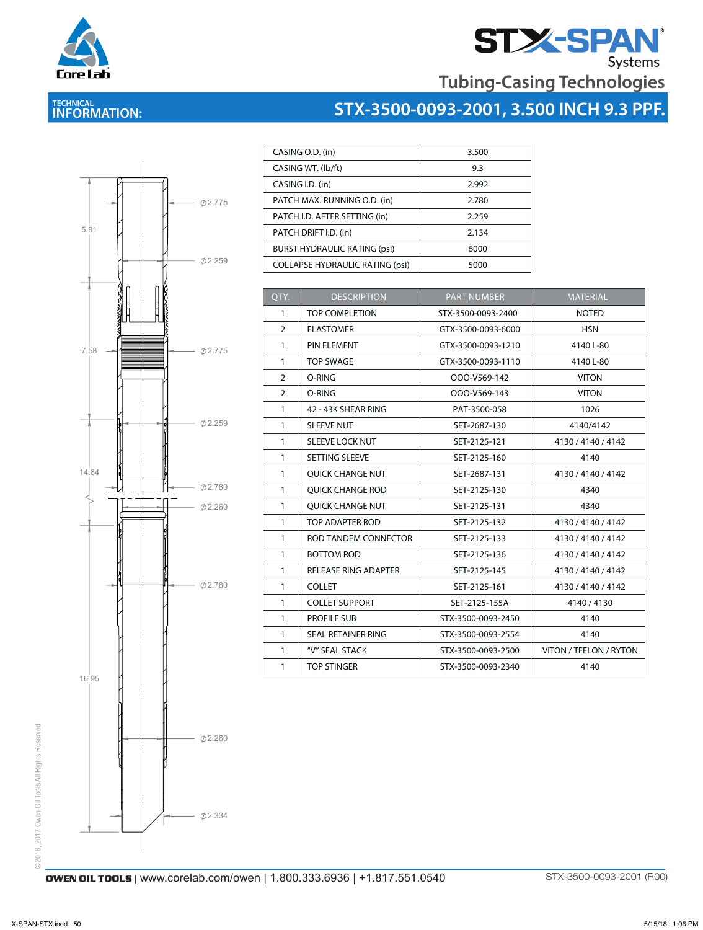

# **STAN**<br>Tubing-Casing Technologies

## **TECHNICAL INFORMATION:**





| CASING O.D. (in)                       | 3.500 |
|----------------------------------------|-------|
| CASING WT. (lb/ft)                     | 9.3   |
| CASING I.D. (in)                       | 2.992 |
| PATCH MAX. RUNNING O.D. (in)           | 2.780 |
| PATCH I.D. AFTER SETTING (in)          | 2.259 |
| PATCH DRIFT I.D. (in)                  | 2.134 |
| <b>BURST HYDRAULIC RATING (psi)</b>    | 6000  |
| <b>COLLAPSE HYDRAULIC RATING (psi)</b> | 5000  |

| QTY.           | <b>DESCRIPTION</b>          | <b>PART NUMBER</b> | <b>MATERIAL</b>        |
|----------------|-----------------------------|--------------------|------------------------|
| 1              | <b>TOP COMPLETION</b>       | STX-3500-0093-2400 | <b>NOTED</b>           |
| $\overline{2}$ | <b>ELASTOMER</b>            | GTX-3500-0093-6000 | <b>HSN</b>             |
| $\mathbf{1}$   | PIN ELEMENT                 | GTX-3500-0093-1210 | 4140 L-80              |
| $\mathbf{1}$   | <b>TOP SWAGE</b>            | GTX-3500-0093-1110 | 4140 L-80              |
| $\overline{2}$ | O-RING                      | OOO-V569-142       | <b>VITON</b>           |
| $\overline{2}$ | O-RING                      | OOO-V569-143       | <b>VITON</b>           |
| $\mathbf{1}$   | 42 - 43K SHEAR RING         | PAT-3500-058       | 1026                   |
| $\mathbf{1}$   | <b>SLEEVE NUT</b>           | SET-2687-130       | 4140/4142              |
| $\mathbf{1}$   | <b>SLEEVE LOCK NUT</b>      | SET-2125-121       | 4130 / 4140 / 4142     |
| $\mathbf{1}$   | SETTING SLEEVE              | SET-2125-160       | 4140                   |
| $\mathbf{1}$   | <b>OUICK CHANGE NUT</b>     | SET-2687-131       | 4130 / 4140 / 4142     |
| $\mathbf{1}$   | <b>OUICK CHANGE ROD</b>     | SET-2125-130       | 4340                   |
| $\mathbf{1}$   | <b>OUICK CHANGE NUT</b>     | SET-2125-131       | 4340                   |
| $\mathbf{1}$   | TOP ADAPTER ROD             | SET-2125-132       | 4130 / 4140 / 4142     |
| $\mathbf{1}$   | ROD TANDEM CONNECTOR        | SET-2125-133       | 4130 / 4140 / 4142     |
| $\mathbf{1}$   | <b>BOTTOM ROD</b>           | SET-2125-136       | 4130 / 4140 / 4142     |
| $\mathbf{1}$   | <b>RELEASE RING ADAPTER</b> | SET-2125-145       | 4130 / 4140 / 4142     |
| $\mathbf{1}$   | <b>COLLET</b>               | SET-2125-161       | 4130 / 4140 / 4142     |
| $\mathbf{1}$   | <b>COLLET SUPPORT</b>       | SET-2125-155A      | 4140/4130              |
| $\mathbf{1}$   | <b>PROFILE SUB</b>          | STX-3500-0093-2450 | 4140                   |
| $\mathbf{1}$   | <b>SEAL RETAINER RING</b>   | STX-3500-0093-2554 | 4140                   |
| $\mathbf{1}$   | "V" SEAL STACK              | STX-3500-0093-2500 | VITON / TEFLON / RYTON |
| $\mathbf{1}$   | <b>TOP STINGER</b>          | STX-3500-0093-2340 | 4140                   |

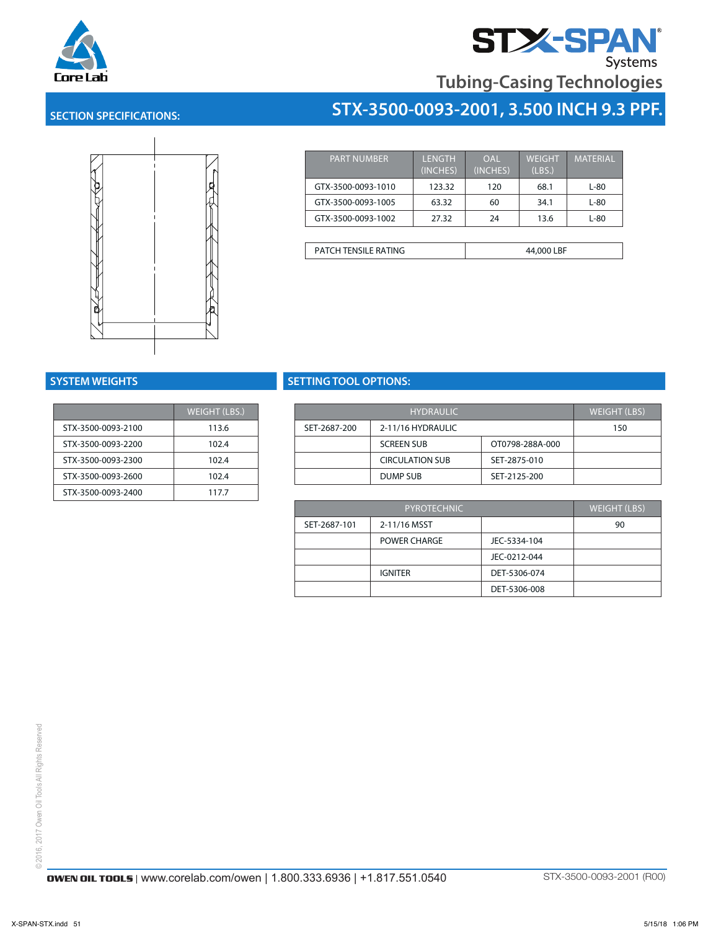



## **SECTION SPECIFICATIONS:**



| <b>PART NUMBER</b>          | <b>LENGTH</b><br>(INCHES) | OAL<br>(INCHES) | <b>WEIGHT</b><br>(LBS.) | <b>MATERIAL</b> |
|-----------------------------|---------------------------|-----------------|-------------------------|-----------------|
| GTX-3500-0093-1010          | 123.32                    | 120             | 68.1                    | $L-80$          |
| GTX-3500-0093-1005          | 63.32                     | 60              | 34.1                    | L-80            |
| GTX-3500-0093-1002          | 27.32                     | 24              | 13.6                    | L-80            |
|                             |                           |                 |                         |                 |
| <b>PATCH TENSILE RATING</b> |                           |                 | 44,000 LBF              |                 |

GTX-3500-0093-1010 123.32 120 68.1 L-80

**STX-3500-0093-2001, 3.500 INCH 9.3 PPF.**

|                    | <b>WEIGHT (LBS.)</b> |              | H                |
|--------------------|----------------------|--------------|------------------|
| STX-3500-0093-2100 | 113.6                | SET-2687-200 | $2 - 11/16$ H    |
| STX-3500-0093-2200 | 102.4                |              | <b>SCREEN SI</b> |
| STX-3500-0093-2300 | 102.4                |              | <b>CIRCULAT</b>  |
| STX-3500-0093-2600 | 102.4                |              | <b>DUMP SUI</b>  |
| STX-3500-0093-2400 | 117.7                |              |                  |

## **SYSTEM WEIGHTS SETTING TOOL OPTIONS:**

| $T$ (LBS.) | <b>HYDRAULIC</b> |                        |                 | WEIGHT (LBS) |
|------------|------------------|------------------------|-----------------|--------------|
| 3.6        | SET-2687-200     | 2-11/16 HYDRAULIC      |                 | 150          |
| 2.4        |                  | <b>SCREEN SUB</b>      | OT0798-288A-000 |              |
| 2.4        |                  | <b>CIRCULATION SUB</b> | SET-2875-010    |              |
| 2.4        |                  | DUMP SUB               | SET-2125-200    |              |

| PYROTECHNIC  |                |              | <b>WEIGHT (LBS)</b> |
|--------------|----------------|--------------|---------------------|
| SET-2687-101 | 2-11/16 MSST   |              | 90                  |
|              | POWER CHARGE   | JEC-5334-104 |                     |
|              |                | JEC-0212-044 |                     |
|              | <b>IGNITER</b> | DET-5306-074 |                     |
|              |                | DET-5306-008 |                     |